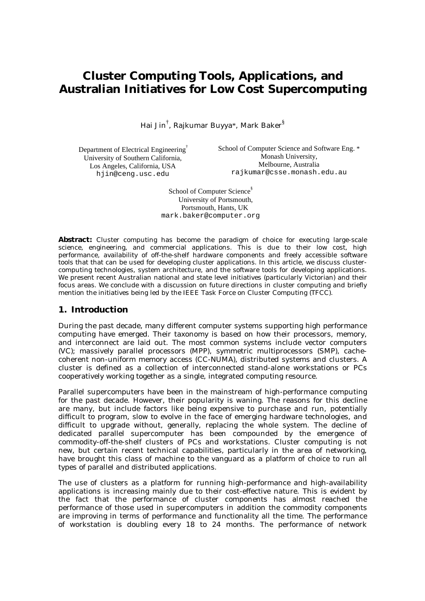# **Cluster Computing Tools, Applications, and Australian Initiatives for Low Cost Supercomputing**

Hai Jin $^\dagger$ , Rajkumar Buyya\*, Mark Baker $^\S$ 

Department of Electrical Engineering† University of Southern California, Los Angeles, California, USA hjin@ceng.usc.edu

School of Computer Science and Software Eng. \* Monash University, Melbourne, Australia rajkumar@csse.monash.edu.au

School of Computer Science<sup>§</sup> University of Portsmouth, Portsmouth, Hants, UK mark.baker@computer.org

**Abstract:** Cluster computing has become the paradigm of choice for executing large-scale science, engineering, and commercial applications. This is due to their low cost, high performance, availability of off-the-shelf hardware components and freely accessible software tools that that can be used for developing cluster applications. In this article, we discuss clustercomputing technologies, system architecture, and the software tools for developing applications. We present recent Australian national and state level initiatives (particularly Victorian) and their focus areas. We conclude with a discussion on future directions in cluster computing and briefly mention the initiatives being led by the IEEE Task Force on Cluster Computing (TFCC).

### **1. Introduction**

During the past decade, many different computer systems supporting high performance computing have emerged. Their taxonomy is based on how their processors, memory, and interconnect are laid out. The most common systems include vector computers (VC); massively parallel processors (MPP), symmetric multiprocessors (SMP), cachecoherent non-uniform memory access (CC-NUMA), distributed systems and clusters. A cluster is defined as a collection of interconnected stand-alone workstations or PCs cooperatively working together as a single, integrated computing resource.

Parallel supercomputers have been in the mainstream of high-performance computing for the past decade. However, their popularity is waning. The reasons for this decline are many, but include factors like being expensive to purchase and run, potentially difficult to program, slow to evolve in the face of emerging hardware technologies, and difficult to upgrade without, generally, replacing the whole system. The decline of dedicated parallel supercomputer has been compounded by the emergence of commodity-off-the-shelf clusters of PCs and workstations. Cluster computing is not new, but certain recent technical capabilities, particularly in the area of networking, have brought this class of machine to the vanguard as a platform of choice to run all types of parallel and distributed applications.

The use of clusters as a platform for running high-performance and high-availability applications is increasing mainly due to their cost-effective nature. This is evident by the fact that the performance of cluster components has almost reached the performance of those used in supercomputers in addition the commodity components are improving in terms of performance and functionality all the time. The performance of workstation is doubling every 18 to 24 months. The performance of network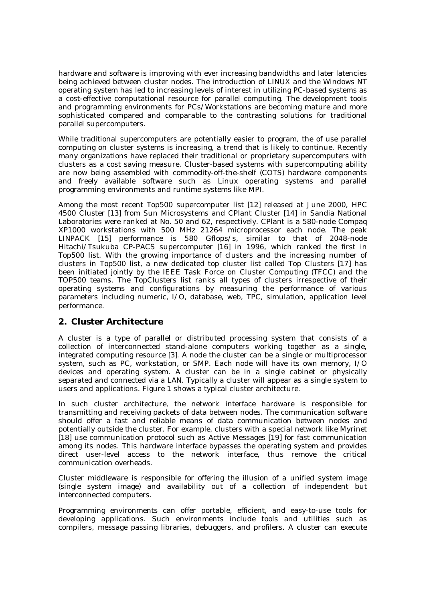hardware and software is improving with ever increasing bandwidths and later latencies being achieved between cluster nodes. The introduction of LINUX and the Windows NT operating system has led to increasing levels of interest in utilizing PC-based systems as a cost-effective computational resource for parallel computing. The development tools and programming environments for PCs/Workstations are becoming mature and more sophisticated compared and comparable to the contrasting solutions for traditional parallel supercomputers.

While traditional supercomputers are potentially easier to program, the of use parallel computing on cluster systems is increasing, a trend that is likely to continue. Recently many organizations have replaced their traditional or proprietary supercomputers with clusters as a cost saving measure. Cluster-based systems with supercomputing ability are now being assembled with commodity-off-the-shelf (COTS) hardware components and freely available software such as Linux operating systems and parallel programming environments and runtime systems like MPI.

Among the most recent Top500 supercomputer list [12] released at June 2000, HPC 4500 Cluster [13] from Sun Microsystems and CPlant Cluster [14] in Sandia National Laboratories were ranked at No. 50 and 62, respectively. CPlant is a 580-node Compaq XP1000 workstations with 500 MHz 21264 microprocessor each node. The peak LINPACK [15] performance is 580 Gflops/s, similar to that of 2048-node Hitachi/Tsukuba CP-PACS supercomputer [16] in 1996, which ranked the first in Top500 list. With the growing importance of clusters and the increasing number of clusters in Top500 list, a new dedicated top cluster list called Top Clusters [17] has been initiated jointly by the IEEE Task Force on Cluster Computing (TFCC) and the TOP500 teams. The TopClusters list ranks all types of clusters irrespective of their operating systems and configurations by measuring the performance of various parameters including numeric, I/O, database, web, TPC, simulation, application level performance.

### **2. Cluster Architecture**

A cluster is a type of parallel or distributed processing system that consists of a collection of interconnected stand-alone computers working together as a single, integrated computing resource [3]. A node the cluster can be a single or multiprocessor system, such as PC, workstation, or SMP. Each node will have its own memory, I/O devices and operating system. A cluster can be in a single cabinet or physically separated and connected via a LAN. Typically a cluster will appear as a single system to users and applications. Figure 1 shows a typical cluster architecture.

In such cluster architecture, the network interface hardware is responsible for transmitting and receiving packets of data between nodes. The communication software should offer a fast and reliable means of data communication between nodes and potentially outside the cluster. For example, clusters with a special network like Myrinet [18] use communication protocol such as Active Messages [19] for fast communication among its nodes. This hardware interface bypasses the operating system and provides direct user-level access to the network interface, thus remove the critical communication overheads.

Cluster middleware is responsible for offering the illusion of a unified system image (single system image) and availability out of a collection of independent but interconnected computers.

Programming environments can offer portable, efficient, and easy-to-use tools for developing applications. Such environments include tools and utilities such as compilers, message passing libraries, debuggers, and profilers. A cluster can execute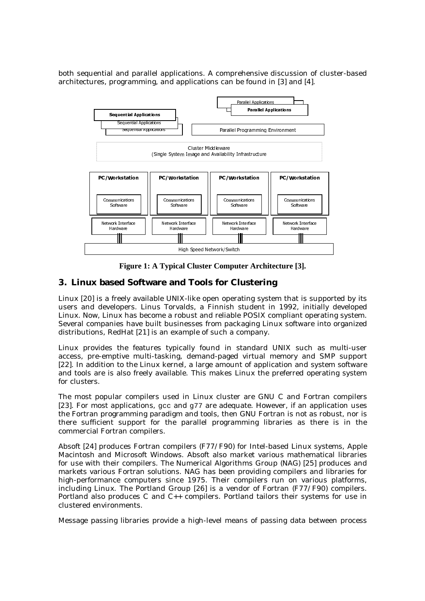both sequential and parallel applications. A comprehensive discussion of cluster-based architectures, programming, and applications can be found in [3] and [4].



**Figure 1: A Typical Cluster Computer Architecture [3].**

# **3. Linux based Software and Tools for Clustering**

Linux [20] is a freely available UNIX-like open operating system that is supported by its users and developers. Linus Torvalds, a Finnish student in 1992, initially developed Linux. Now, Linux has become a robust and reliable POSIX compliant operating system. Several companies have built businesses from packaging Linux software into organized distributions, RedHat [21] is an example of such a company.

Linux provides the features typically found in standard UNIX such as multi-user access, pre-emptive multi-tasking, demand-paged virtual memory and SMP support [22]. In addition to the Linux kernel, a large amount of application and system software and tools are is also freely available. This makes Linux the preferred operating system for clusters.

The most popular compilers used in Linux cluster are GNU C and Fortran compilers [23]. For most applications, gcc and g77 are adequate. However, if an application uses the Fortran programming paradigm and tools, then GNU Fortran is not as robust, nor is there sufficient support for the parallel programming libraries as there is in the commercial Fortran compilers.

Absoft [24] produces Fortran compilers (F77/F90) for Intel-based Linux systems, Apple Macintosh and Microsoft Windows. Absoft also market various mathematical libraries for use with their compilers. The Numerical Algorithms Group (NAG) [25] produces and markets various Fortran solutions. NAG has been providing compilers and libraries for high-performance computers since 1975. Their compilers run on various platforms, including Linux. The Portland Group [26] is a vendor of Fortran (F77/F90) compilers. Portland also produces C and C++ compilers. Portland tailors their systems for use in clustered environments.

Message passing libraries provide a high-level means of passing data between process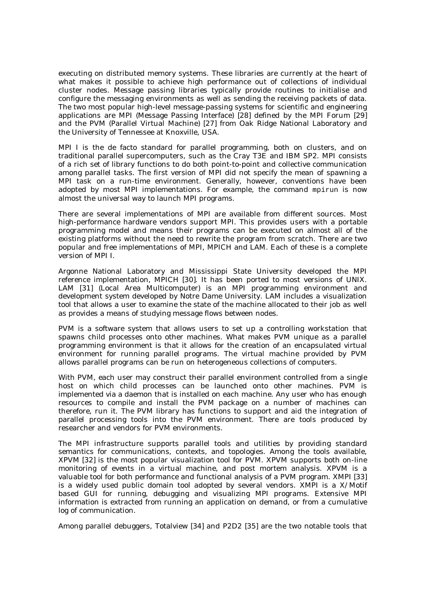executing on distributed memory systems. These libraries are currently at the heart of what makes it possible to achieve high performance out of collections of individual cluster nodes. Message passing libraries typically provide routines to initialise and configure the messaging environments as well as sending the receiving packets of data. The two most popular high-level message-passing systems for scientific and engineering applications are MPI (Message Passing Interface) [28] defined by the MPI Forum [29] and the PVM (Parallel Virtual Machine) [27] from Oak Ridge National Laboratory and the University of Tennessee at Knoxville, USA.

MPI I is the de facto standard for parallel programming, both on clusters, and on traditional parallel supercomputers, such as the Cray T3E and IBM SP2. MPI consists of a rich set of library functions to do both point-to-point and collective communication among parallel tasks. The first version of MPI did not specify the mean of spawning a MPI task on a run-time environment. Generally, however, conventions have been adopted by most MPI implementations. For example, the command mpirun is now almost the universal way to launch MPI programs.

There are several implementations of MPI are available from different sources. Most high-performance hardware vendors support MPI. This provides users with a portable programming model and means their programs can be executed on almost all of the existing platforms without the need to rewrite the program from scratch. There are two popular and free implementations of MPI, MPICH and LAM. Each of these is a complete version of MPI I.

Argonne National Laboratory and Mississippi State University developed the MPI reference implementation, MPICH [30]. It has been ported to most versions of UNIX. LAM [31] (Local Area Multicomputer) is an MPI programming environment and development system developed by Notre Dame University. LAM includes a visualization tool that allows a user to examine the state of the machine allocated to their job as well as provides a means of studying message flows between nodes.

PVM is a software system that allows users to set up a controlling workstation that spawns child processes onto other machines. What makes PVM unique as a parallel programming environment is that it allows for the creation of an encapsulated virtual environment for running parallel programs. The virtual machine provided by PVM allows parallel programs can be run on heterogeneous collections of computers.

With PVM, each user may construct their parallel environment controlled from a single host on which child processes can be launched onto other machines. PVM is implemented via a daemon that is installed on each machine. Any user who has enough resources to compile and install the PVM package on a number of machines can therefore, run it. The PVM library has functions to support and aid the integration of parallel processing tools into the PVM environment. There are tools produced by researcher and vendors for PVM environments.

The MPI infrastructure supports parallel tools and utilities by providing standard semantics for communications, contexts, and topologies. Among the tools available, XPVM [32] is the most popular visualization tool for PVM. XPVM supports both on-line monitoring of events in a virtual machine, and post mortem analysis. XPVM is a valuable tool for both performance and functional analysis of a PVM program. XMPI [33] is a widely used public domain tool adopted by several vendors. XMPI is a X/Motif based GUI for running, debugging and visualizing MPI programs. Extensive MPI information is extracted from running an application on demand, or from a cumulative log of communication.

Among parallel debuggers, Totalview [34] and P2D2 [35] are the two notable tools that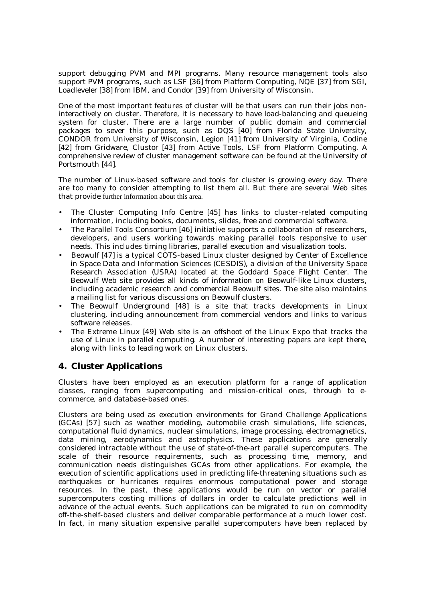support debugging PVM and MPI programs. Many resource management tools also support PVM programs, such as LSF [36] from Platform Computing, NQE [37] from SGI, Loadleveler [38] from IBM, and Condor [39] from University of Wisconsin.

One of the most important features of cluster will be that users can run their jobs noninteractively on cluster. Therefore, it is necessary to have load-balancing and queueing system for cluster. There are a large number of public domain and commercial packages to sever this purpose, such as DQS [40] from Florida State University, CONDOR from University of Wisconsin, Legion [41] from University of Virginia, Codine [42] from Gridware, Clustor [43] from Active Tools, LSF from Platform Computing. A comprehensive review of cluster management software can be found at the University of Portsmouth [44].

The number of Linux-based software and tools for cluster is growing every day. There are too many to consider attempting to list them all. But there are several Web sites that provide further information about this area.

- The Cluster Computing Info Centre [45] has links to cluster-related computing information, including books, documents, slides, free and commercial software.
- The Parallel Tools Consortium [46] initiative supports a collaboration of researchers, developers, and users working towards making parallel tools responsive to user needs. This includes timing libraries, parallel execution and visualization tools.
- Beowulf [47] is a typical COTS-based Linux cluster designed by Center of Excellence in Space Data and Information Sciences (CESDIS), a division of the University Space Research Association (USRA) located at the Goddard Space Flight Center. The Beowulf Web site provides all kinds of information on Beowulf-like Linux clusters, including academic research and commercial Beowulf sites. The site also maintains a mailing list for various discussions on Beowulf clusters.
- The Beowulf Underground [48] is a site that tracks developments in Linux clustering, including announcement from commercial vendors and links to various software releases.
- The Extreme Linux [49] Web site is an offshoot of the Linux Expo that tracks the use of Linux in parallel computing. A number of interesting papers are kept there, along with links to leading work on Linux clusters.

# **4. Cluster Applications**

Clusters have been employed as an execution platform for a range of application classes, ranging from supercomputing and mission-critical ones, through to ecommerce, and database-based ones.

Clusters are being used as execution environments for Grand Challenge Applications (GCAs) [57] such as weather modeling, automobile crash simulations, life sciences, computational fluid dynamics, nuclear simulations, image processing, electromagnetics, data mining, aerodynamics and astrophysics. These applications are generally considered intractable without the use of state-of-the-art parallel supercomputers. The scale of their resource requirements, such as processing time, memory, and communication needs distinguishes GCAs from other applications. For example, the execution of scientific applications used in predicting life-threatening situations such as earthquakes or hurricanes requires enormous computational power and storage resources. In the past, these applications would be run on vector or parallel supercomputers costing millions of dollars in order to calculate predictions well in advance of the actual events. Such applications can be migrated to run on commodity off-the-shelf-based clusters and deliver comparable performance at a much lower cost. In fact, in many situation expensive parallel supercomputers have been replaced by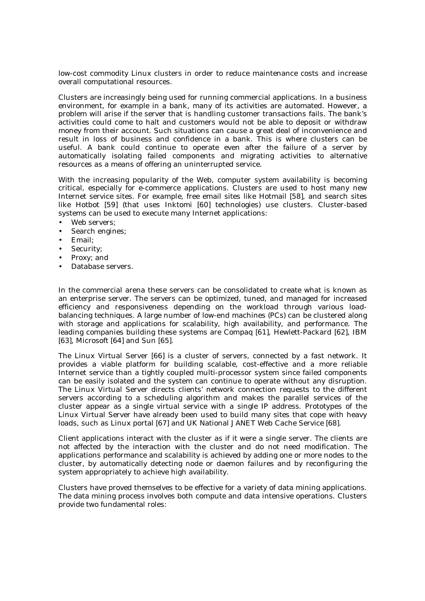low-cost commodity Linux clusters in order to reduce maintenance costs and increase overall computational resources.

Clusters are increasingly being used for running commercial applications. In a business environment, for example in a bank, many of its activities are automated. However, a problem will arise if the server that is handling customer transactions fails. The bank's activities could come to halt and customers would not be able to deposit or withdraw money from their account. Such situations can cause a great deal of inconvenience and result in loss of business and confidence in a bank. This is where clusters can be useful. A bank could continue to operate even after the failure of a server by automatically isolating failed components and migrating activities to alternative resources as a means of offering an uninterrupted service.

With the increasing popularity of the Web, computer system availability is becoming critical, especially for e-commerce applications. Clusters are used to host many new Internet service sites. For example, free email sites like Hotmail [58], and search sites like Hotbot [59] (that uses Inktomi [60] technologies) use clusters. Cluster-based systems can be used to execute many Internet applications:

- Web servers;
- Search engines;
- Email;
- Security:
- Proxy; and
- Database servers.

In the commercial arena these servers can be consolidated to create what is known as an enterprise server. The servers can be optimized, tuned, and managed for increased efficiency and responsiveness depending on the workload through various loadbalancing techniques. A large number of low-end machines (PCs) can be clustered along with storage and applications for scalability, high availability, and performance. The leading companies building these systems are Compaq [61], Hewlett-Packard [62], IBM [63], Microsoft [64] and Sun [65].

The Linux Virtual Server [66] is a cluster of servers, connected by a fast network. It provides a viable platform for building scalable, cost-effective and a more reliable Internet service than a tightly coupled multi-processor system since failed components can be easily isolated and the system can continue to operate without any disruption. The Linux Virtual Server directs clients' network connection requests to the different servers according to a scheduling algorithm and makes the parallel services of the cluster appear as a single virtual service with a single IP address. Prototypes of the Linux Virtual Server have already been used to build many sites that cope with heavy loads, such as Linux portal [67] and UK National JANET Web Cache Service [68].

Client applications interact with the cluster as if it were a single server. The clients are not affected by the interaction with the cluster and do not need modification. The applications performance and scalability is achieved by adding one or more nodes to the cluster, by automatically detecting node or daemon failures and by reconfiguring the system appropriately to achieve high availability.

Clusters have proved themselves to be effective for a variety of data mining applications. The data mining process involves both compute and data intensive operations. Clusters provide two fundamental roles: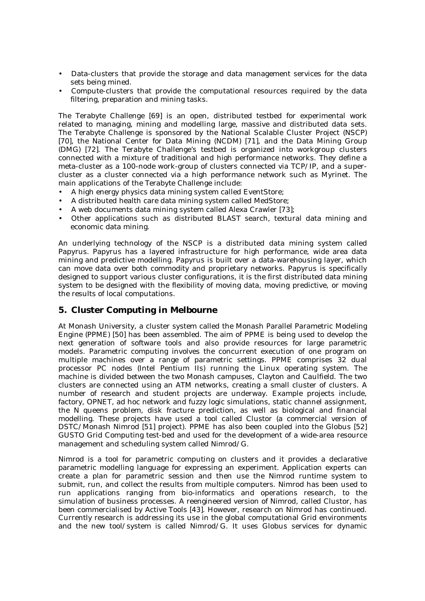- Data-clusters that provide the storage and data management services for the data sets being mined.
- Compute-clusters that provide the computational resources required by the data filtering, preparation and mining tasks.

The Terabyte Challenge [69] is an open, distributed testbed for experimental work related to managing, mining and modelling large, massive and distributed data sets. The Terabyte Challenge is sponsored by the National Scalable Cluster Project (NSCP) [70], the National Center for Data Mining (NCDM) [71], and the Data Mining Group (DMG) [72]. The Terabyte Challenge's testbed is organized into workgroup clusters connected with a mixture of traditional and high performance networks. They define a meta-cluster as a 100-node work-group of clusters connected via TCP/IP, and a supercluster as a cluster connected via a high performance network such as Myrinet. The main applications of the Terabyte Challenge include:

- A high energy physics data mining system called EventStore;
- A distributed health care data mining system called MedStore;
- A web documents data mining system called Alexa Crawler [73];
- Other applications such as distributed BLAST search, textural data mining and economic data mining.

An underlying technology of the NSCP is a distributed data mining system called Papyrus. Papyrus has a layered infrastructure for high performance, wide area data mining and predictive modelling. Papyrus is built over a data-warehousing layer, which can move data over both commodity and proprietary networks. Papyrus is specifically designed to support various cluster configurations, it is the first distributed data mining system to be designed with the flexibility of moving data, moving predictive, or moving the results of local computations.

#### **5. Cluster Computing in Melbourne**

At Monash University, a cluster system called the Monash Parallel Parametric Modeling Engine (PPME) [50] has been assembled. The aim of PPME is being used to develop the next generation of software tools and also provide resources for large parametric models. Parametric computing involves the concurrent execution of one program on multiple machines over a range of parametric settings. PPME comprises 32 dual processor PC nodes (Intel Pentium IIs) running the Linux operating system. The machine is divided between the two Monash campuses, Clayton and Caulfield. The two clusters are connected using an ATM networks, creating a small cluster of clusters. A number of research and student projects are underway. Example projects include, factory, OPNET, ad hoc network and fuzzy logic simulations, static channel assignment, the  $\overline{N}$  queens problem, disk fracture prediction, as well as biological and financial modelling. These projects have used a tool called Clustor (a commercial version of DSTC/Monash Nimrod [51] project). PPME has also been coupled into the Globus [52] GUSTO Grid Computing test-bed and used for the development of a wide-area resource management and scheduling system called Nimrod/G.

Nimrod is a tool for parametric computing on clusters and it provides a *declarative* parametric modelling language for expressing an experiment. Application experts can create a *plan* for parametric session and then use the Nimrod runtime system to submit, run, and collect the results from multiple computers. Nimrod has been used to run applications ranging from bio-informatics and operations research, to the simulation of business processes. A reengineered version of Nimrod, called Clustor, has been commercialised by Active Tools [43]. However, research on Nimrod has continued. Currently research is addressing its use in the global computational Grid environments and the new tool/system is called Nimrod/G. It uses Globus services for dynamic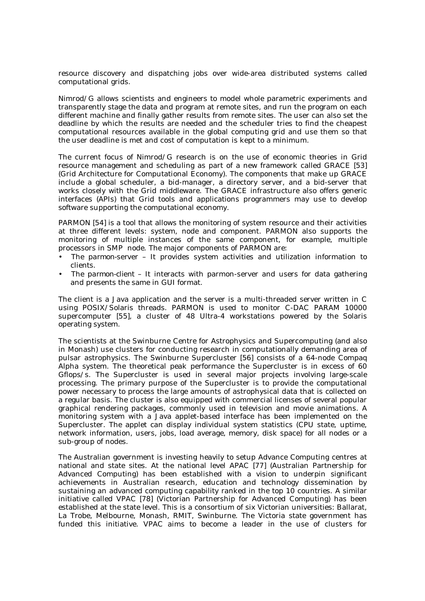resource discovery and dispatching jobs over wide-area distributed systems called computational grids.

Nimrod/G allows scientists and engineers to model whole parametric experiments and transparently stage the data and program at remote sites, and run the program on each different machine and finally gather results from remote sites. The user can also set the deadline by which the results are needed and the scheduler tries to find the cheapest computational resources available in the global computing grid and use them so that the user deadline is met and cost of computation is kept to a minimum.

The current focus of Nimrod/G research is on the use of economic theories in Grid resource management and scheduling as part of a new framework called GRACE [53] (Grid Architecture for Computational Economy). The components that make up GRACE include a global scheduler, a bid-manager, a directory server, and a bid-server that works closely with the Grid middleware. The GRACE infrastructure also offers generic interfaces (APIs) that Grid tools and applications programmers may use to develop software supporting the computational economy.

PARMON [54] is a tool that allows the monitoring of system resource and their activities at three different levels: system, node and component. PARMON also supports the monitoring of multiple instances of the same component, for example, multiple processors in SMP node. The major components of PARMON are:

- The *parmon-server* It provides system activities and utilization information to clients.
- The *parmon-client* It interacts with parmon-server and users for data gathering and presents the same in GUI format.

The client is a Java application and the server is a multi-threaded server written in C using POSIX/Solaris threads. PARMON is used to monitor C-DAC PARAM 10000 supercomputer [55], a cluster of 48 Ultra-4 workstations powered by the Solaris operating system.

The scientists at the Swinburne Centre for Astrophysics and Supercomputing (and also in Monash) use clusters for conducting research in computationally demanding area of pulsar astrophysics. The Swinburne Supercluster [56] consists of a 64-node Compaq Alpha system. The theoretical peak performance the Supercluster is in excess of 60 Gflops/s. The Supercluster is used in several major projects involving large-scale processing. The primary purpose of the Supercluster is to provide the computational power necessary to process the large amounts of astrophysical data that is collected on a regular basis. The cluster is also equipped with commercial licenses of several popular graphical rendering packages, commonly used in television and movie animations. A monitoring system with a Java applet-based interface has been implemented on the Supercluster. The applet can display individual system statistics (CPU state, uptime, network information, users, jobs, load average, memory, disk space) for all nodes or a sub-group of nodes.

The Australian government is investing heavily to setup Advance Computing centres at national and state sites. At the national level APAC [77] (Australian Partnership for Advanced Computing) has been established with a vision to underpin significant achievements in Australian research, education and technology dissemination by sustaining an advanced computing capability ranked in the top 10 countries. A similar initiative called VPAC [78] (Victorian Partnership for Advanced Computing) has been established at the state level. This is a consortium of six Victorian universities: Ballarat, La Trobe, Melbourne, Monash, RMIT, Swinburne. The Victoria state government has funded this initiative. VPAC aims to become a leader in the use of clusters for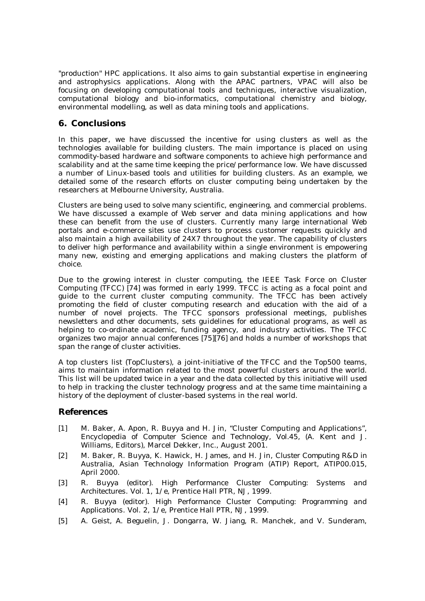"production" HPC applications. It also aims to gain substantial expertise in engineering and astrophysics applications. Along with the APAC partners, VPAC will also be focusing on developing computational tools and techniques, interactive visualization, computational biology and bio-informatics, computational chemistry and biology, environmental modelling, as well as data mining tools and applications.

## **6. Conclusions**

In this paper, we have discussed the incentive for using clusters as well as the technologies available for building clusters. The main importance is placed on using commodity-based hardware and software components to achieve high performance and scalability and at the same time keeping the price/performance low. We have discussed a number of Linux-based tools and utilities for building clusters. As an example, we detailed some of the research efforts on cluster computing being undertaken by the researchers at Melbourne University, Australia.

Clusters are being used to solve many scientific, engineering, and commercial problems. We have discussed a example of Web server and data mining applications and how these can benefit from the use of clusters. Currently many large international Web portals and e-commerce sites use clusters to process customer requests quickly and also maintain a high availability of 24X7 throughout the year. The capability of clusters to deliver high performance and availability within a single environment is empowering many new, existing and emerging applications and making clusters the platform of choice.

Due to the growing interest in cluster computing, the IEEE Task Force on Cluster Computing (TFCC) [74] was formed in early 1999. TFCC is acting as a focal point and guide to the current cluster computing community. The TFCC has been actively promoting the field of cluster computing research and education with the aid of a number of novel projects. The TFCC sponsors professional meetings, publishes newsletters and other documents, sets guidelines for educational programs, as well as helping to co-ordinate academic, funding agency, and industry activities. The TFCC organizes two major annual conferences [75][76] and holds a number of workshops that span the range of cluster activities.

A top clusters list (TopClusters), a joint-initiative of the TFCC and the Top500 teams, aims to maintain information related to the most powerful clusters around the world. This list will be updated twice in a year and the data collected by this initiative will used to help in tracking the cluster technology progress and at the same time maintaining a history of the deployment of cluster-based systems in the real world.

### **References**

- [1] M. Baker, A. Apon, R. Buyya and H. Jin, "Cluster Computing and Applications", *Encyclopedia of Computer Science and Technology, Vol.45,* (A. Kent and J. Williams, Editors), Marcel Dekker, Inc., August 2001.
- [2] M. Baker, R. Buyya, K. Hawick, H. James, and H. Jin, *Cluster Computing R&D in Australia*, Asian Technology Information Program (ATIP) Report, ATIP00.015, April 2000.
- [3] R. Buyya (editor). *High Performance Cluster Computing: Systems and Architectures*. Vol. 1, 1/e, Prentice Hall PTR, NJ, 1999.
- [4] R. Buyya (editor). *High Performance Cluster Computing: Programming and Applications*. Vol. 2, 1/e, Prentice Hall PTR, NJ, 1999.
- [5] A. Geist, A. Beguelin, J. Dongarra, W. Jiang, R. Manchek, and V. Sunderam,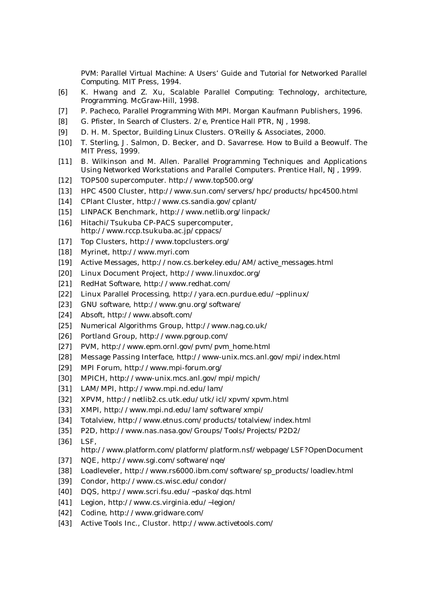*PVM: Parallel Virtual Machine: A Users' Guide and Tutorial for Networked Parallel Computing*. MIT Press, 1994.

- [6] K. Hwang and Z. Xu, *Scalable Parallel Computing: Technology, architecture, Programming*. McGraw-Hill, 1998.
- [7] P. Pacheco, *Parallel Programming With MPI*. Morgan Kaufmann Publishers, 1996.
- [8] G. Pfister, *In Search of Clusters*. 2/e, Prentice Hall PTR, NJ, 1998.
- [9] D. H. M. Spector, *Building Linux Clusters*. O'Reilly & Associates, 2000.
- [10] T. Sterling, J. Salmon, D. Becker, and D. Savarrese. *How to Build a Beowulf*. The MIT Press, 1999.
- [11] B. Wilkinson and M. Allen. Parallel Programming Techniques and Applications Using Networked Workstations and Parallel Computers. Prentice Hall, NJ, 1999.
- [12] TOP500 supercomputer. http://www.top500.org/
- [13] HPC 4500 Cluster, http://www.sun.com/servers/hpc/products/hpc4500.html
- [14] CPlant Cluster, http://www.cs.sandia.gov/cplant/
- [15] LINPACK Benchmark, http://www.netlib.org/linpack/
- [16] Hitachi/Tsukuba CP-PACS supercomputer, http://www.rccp.tsukuba.ac.jp/cppacs/
- [17] Top Clusters, http://www.topclusters.org/
- [18] Myrinet, http://www.myri.com
- [19] Active Messages, http://now.cs.berkeley.edu/AM/active\_messages.html
- [20] Linux Document Project, http://www.linuxdoc.org/
- [21] RedHat Software, http://www.redhat.com/
- [22] Linux Parallel Processing, http://yara.ecn.purdue.edu/~pplinux/
- [23] GNU software, http://www.gnu.org/software/
- [24] Absoft, http://www.absoft.com/
- [25] Numerical Algorithms Group, http://www.nag.co.uk/
- [26] Portland Group, http://www.pgroup.com/
- [27] PVM, http://www.epm.ornl.gov/pvm/pvm\_home.html
- [28] Message Passing Interface, http://www-unix.mcs.anl.gov/mpi/index.html
- [29] MPI Forum, http://www.mpi-forum.org/
- [30] MPICH, http://www-unix.mcs.anl.gov/mpi/mpich/
- [31] LAM/MPI, http://www.mpi.nd.edu/lam/
- [32] XPVM, http://netlib2.cs.utk.edu/utk/icl/xpvm/xpvm.html
- [33] XMPI, http://www.mpi.nd.edu/lam/software/xmpi/
- [34] Totalview, http://www.etnus.com/products/totalview/index.html
- [35] P2D, http://www.nas.nasa.gov/Groups/Tools/Projects/P2D2/
- [36] LSF,

http://www.platform.com/platform/platform.nsf/webpage/LSF?OpenDocument

- [37] NQE, http://www.sgi.com/software/nqe/
- [38] Loadleveler, http://www.rs6000.ibm.com/software/sp\_products/loadlev.html
- [39] Condor, http://www.cs.wisc.edu/condor/
- [40] DQS, http://www.scri.fsu.edu/~pasko/dqs.html
- [41] Legion, http://www.cs.virginia.edu/~legion/
- [42] Codine, http://www.gridware.com/
- [43] Active Tools Inc., Clustor. http://www.activetools.com/